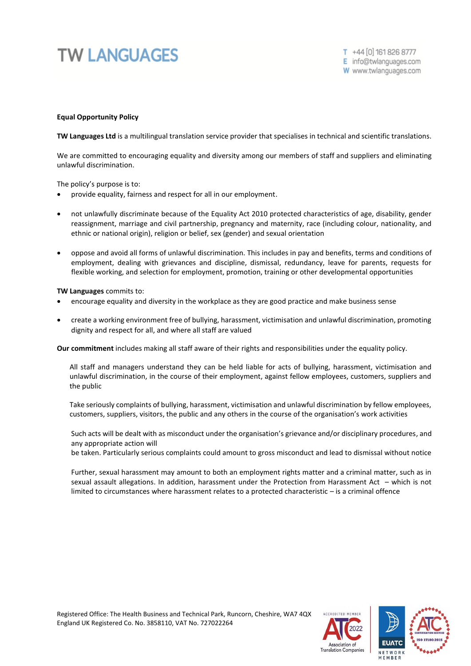## **TW LANGUAGES**

## **Equal Opportunity Policy**

**TW Languages Ltd** is a multilingual translation service provider that specialises in technical and scientific translations.

We are committed to encouraging equality and diversity among our members of staff and suppliers and eliminating unlawful discrimination.

The policy's purpose is to:

- provide equality, fairness and respect for all in our employment.
- not unlawfully discriminate because of the Equality Act 2010 protected characteristics of age, disability, gender reassignment, marriage and civil partnership, pregnancy and maternity, race (including colour, nationality, and ethnic or national origin), religion or belief, sex (gender) and sexual orientation
- oppose and avoid all forms of unlawful discrimination. This includes in pay and benefits, terms and conditions of employment, dealing with grievances and discipline, dismissal, redundancy, leave for parents, requests for flexible working, and selection for employment, promotion, training or other developmental opportunities

**TW Languages** commits to:

- encourage equality and diversity in the workplace as they are good practice and make business sense
- create a working environment free of bullying, harassment, victimisation and unlawful discrimination, promoting dignity and respect for all, and where all staff are valued

**Our commitment** includes making all staff aware of their rights and responsibilities under the equality policy.

All staff and managers understand they can be held liable for acts of bullying, harassment, victimisation and unlawful discrimination, in the course of their employment, against fellow employees, customers, suppliers and the public

Take seriously complaints of bullying, harassment, victimisation and unlawful discrimination by fellow employees, customers, suppliers, visitors, the public and any others in the course of the organisation's work activities

Such acts will be dealt with as misconduct under the organisation's grievance and/or disciplinary procedures, and any appropriate action will

be taken. Particularly serious complaints could amount to gross misconduct and lead to dismissal without notice

Further, sexual harassment may amount to both an employment rights matter and a criminal matter, such as in sexual assault allegations. In addition, harassment under the Protection from Harassment Act – which is not limited to circumstances where harassment relates to a protected characteristic – is a criminal offence